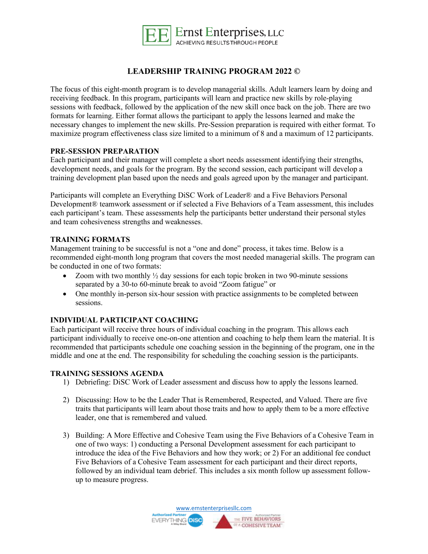

# **LEADERSHIP TRAINING PROGRAM 2022 ©**

The focus of this eight-month program is to develop managerial skills. Adult learners learn by doing and receiving feedback. In this program, participants will learn and practice new skills by role-playing sessions with feedback, followed by the application of the new skill once back on the job. There are two formats for learning. Either format allows the participant to apply the lessons learned and make the necessary changes to implement the new skills. Pre-Session preparation is required with either format. To maximize program effectiveness class size limited to a minimum of 8 and a maximum of 12 participants.

## **PRE-SESSION PREPARATION**

Each participant and their manager will complete a short needs assessment identifying their strengths, development needs, and goals for the program. By the second session, each participant will develop a training development plan based upon the needs and goals agreed upon by the manager and participant.

Participants will complete an Everything DiSC Work of Leader® and a Five Behaviors Personal Development® teamwork assessment or if selected a Five Behaviors of a Team assessment, this includes each participant's team. These assessments help the participants better understand their personal styles and team cohesiveness strengths and weaknesses.

## **TRAINING FORMATS**

Management training to be successful is not a "one and done" process, it takes time. Below is a recommended eight-month long program that covers the most needed managerial skills. The program can be conducted in one of two formats:

- Zoom with two monthly  $\frac{1}{2}$  day sessions for each topic broken in two 90-minute sessions separated by a 30-to 60-minute break to avoid "Zoom fatigue" or
- One monthly in-person six-hour session with practice assignments to be completed between sessions.

## **INDIVIDUAL PARTICIPANT COACHING**

Each participant will receive three hours of individual coaching in the program. This allows each participant individually to receive one-on-one attention and coaching to help them learn the material. It is recommended that participants schedule one coaching session in the beginning of the program, one in the middle and one at the end. The responsibility for scheduling the coaching session is the participants.

### **TRAINING SESSIONS AGENDA**

- 1) Debriefing: DiSC Work of Leader assessment and discuss how to apply the lessons learned.
- 2) Discussing: How to be the Leader That is Remembered, Respected, and Valued. There are five traits that participants will learn about those traits and how to apply them to be a more effective leader, one that is remembered and valued.
- 3) Building: A More Effective and Cohesive Team using the Five Behaviors of a Cohesive Team in one of two ways: 1) conducting a Personal Development assessment for each participant to introduce the idea of the Five Behaviors and how they work; or 2) For an additional fee conduct Five Behaviors of a Cohesive Team assessment for each participant and their direct reports, followed by an individual team debrief. This includes a six month follow up assessment followup to measure progress.